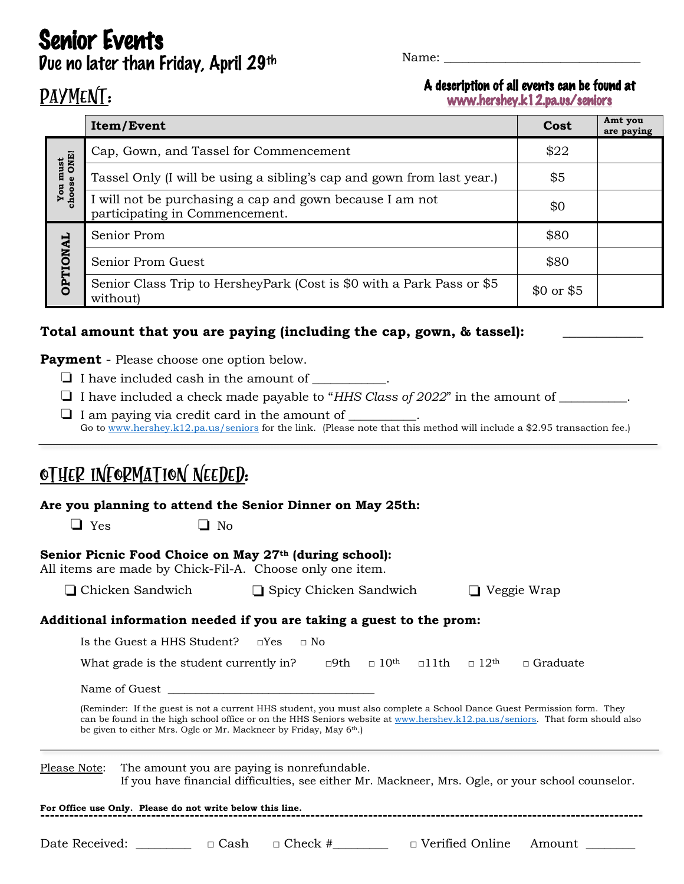**Senior Events**<br>Due no later than Friday, April 29<sup>th</sup>

Name:

## PAYMENT:

A description of all events can be found at www.hershey.k12.pa.us/seniors

|                                 | Item/Event                                                                                 | Cost                | Amt you<br>are paying |
|---------------------------------|--------------------------------------------------------------------------------------------|---------------------|-----------------------|
| must<br>e ONE!<br>choose<br>You | Cap, Gown, and Tassel for Commencement                                                     | \$22                |                       |
|                                 | Tassel Only (I will be using a sibling's cap and gown from last year.)                     | \$5                 |                       |
|                                 | I will not be purchasing a cap and gown because I am not<br>participating in Commencement. | \$0                 |                       |
|                                 | Senior Prom                                                                                | \$80                |                       |
| OPTIONAL                        | Senior Prom Guest                                                                          | \$80                |                       |
|                                 | Senior Class Trip to HersheyPark (Cost is \$0 with a Park Pass or \$5<br>without)          | $$0 \text{ or } $5$ |                       |

#### **Total amount that you are paying (including the cap, gown, & tassel): \_\_\_\_\_\_\_\_\_\_\_\_**

**Payment** - Please choose one option below.

- $\Box$  I have included cash in the amount of \_\_\_\_\_\_\_\_\_\_.
- ❏ I have included a check made payable to "*HHS Class of 2022*" in the amount of \_\_\_\_\_\_\_\_\_\_\_.
- ❏ <sup>I</sup> am paying via credit card in the amount of \_\_\_\_\_\_\_\_\_\_\_. Go to www.hershey.k12.pa.us/seniors for the link.(Please note that this method will include a \$2.95 transaction fee.)

# Other Information Needed:

**Are you planning to attend the Senior Dinner on May 25th:** 

 $\Box$  Yes  $\Box$  No

#### **Senior Picnic Food Choice on May 27th (during school):**

| All items are made by Chick-Fil-A. Choose only one item. |  |
|----------------------------------------------------------|--|
|----------------------------------------------------------|--|

| □ Chicken Sandwich | □ Spicy Chicken Sandwich | $\Box$ Veggie Wrap |
|--------------------|--------------------------|--------------------|
|--------------------|--------------------------|--------------------|

#### **Additional information needed if you are taking a guest to the prom:**

| Is the Guest a HHS Student? $\square$ Yes $\square$ No |  |  |                                                                                        |
|--------------------------------------------------------|--|--|----------------------------------------------------------------------------------------|
| What grade is the student currently in?                |  |  | $\neg$ 9th $\neg$ 10 <sup>th</sup> $\neg$ 11th $\neg$ 12 <sup>th</sup> $\neg$ Graduate |

Name of Guest

(Reminder: If the guest is not a current HHS student, you must also complete a School Dance Guest Permission form. They can be found in the high school office or on the HHS Seniors website at www.hershey.k12.pa.us/seniors. That form should also be given to either Mrs. Ogle or Mr. Mackneer by Friday, May 6th.)

Please Note: The amount you are paying is nonrefundable. If you have financial difficulties, see either Mr. Mackneer, Mrs. Ogle, or your school counselor.

#### For Office use Only. Please do not write below this line.

Date Received: \_\_\_\_\_\_\_\_\_ □ Cash □ Check #\_\_\_\_\_\_\_\_ □ Verified Online Amount \_\_\_\_\_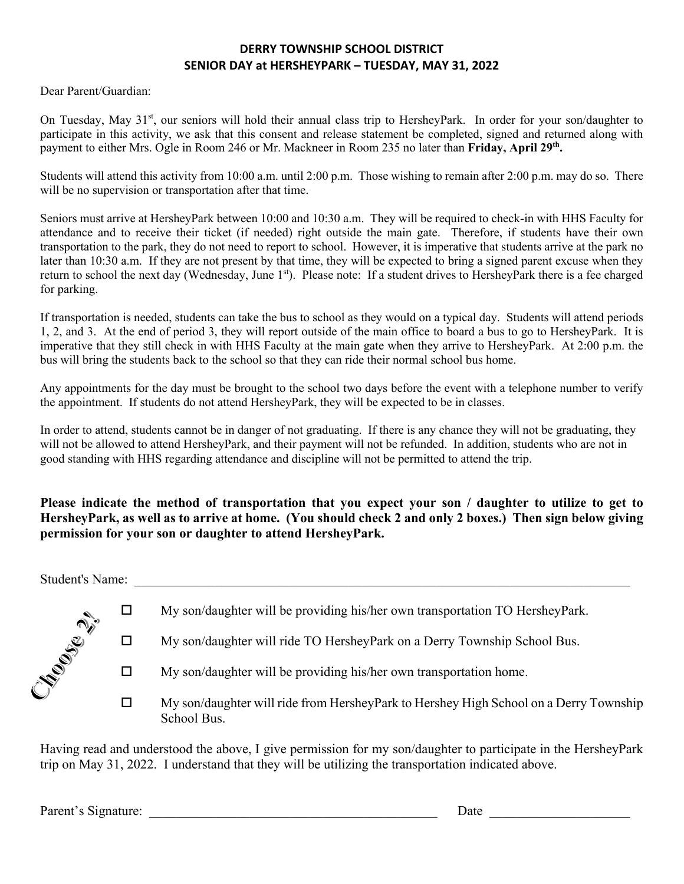#### **DERRY TOWNSHIP SCHOOL DISTRICT SENIOR DAY at HERSHEYPARK – TUESDAY, MAY 31, 2022**

Dear Parent/Guardian:

On Tuesday, May 31<sup>st</sup>, our seniors will hold their annual class trip to HersheyPark. In order for your son/daughter to participate in this activity, we ask that this consent and release statement be completed, signed and returned along with payment to either Mrs. Ogle in Room 246 or Mr. Mackneer in Room 235 no later than **Friday, April 29th.**

Students will attend this activity from 10:00 a.m. until 2:00 p.m. Those wishing to remain after 2:00 p.m. may do so. There will be no supervision or transportation after that time.

Seniors must arrive at HersheyPark between 10:00 and 10:30 a.m. They will be required to check-in with HHS Faculty for attendance and to receive their ticket (if needed) right outside the main gate. Therefore, if students have their own transportation to the park, they do not need to report to school. However, it is imperative that students arrive at the park no later than 10:30 a.m. If they are not present by that time, they will be expected to bring a signed parent excuse when they return to school the next day (Wednesday, June 1st). Please note: If a student drives to HersheyPark there is a fee charged for parking.

If transportation is needed, students can take the bus to school as they would on a typical day. Students will attend periods 1, 2, and 3. At the end of period 3, they will report outside of the main office to board a bus to go to HersheyPark. It is imperative that they still check in with HHS Faculty at the main gate when they arrive to HersheyPark. At 2:00 p.m. the bus will bring the students back to the school so that they can ride their normal school bus home.

Any appointments for the day must be brought to the school two days before the event with a telephone number to verify the appointment. If students do not attend HersheyPark, they will be expected to be in classes.

In order to attend, students cannot be in danger of not graduating. If there is any chance they will not be graduating, they will not be allowed to attend HersheyPark, and their payment will not be refunded. In addition, students who are not in good standing with HHS regarding attendance and discipline will not be permitted to attend the trip.

### **Please indicate the method of transportation that you expect your son / daughter to utilize to get to HersheyPark, as well as to arrive at home. (You should check 2 and only 2 boxes.) Then sign below giving permission for your son or daughter to attend HersheyPark.**

Student's Name: \_\_\_\_\_\_\_\_\_\_\_\_\_\_\_\_\_\_\_\_\_\_\_\_\_\_\_\_\_\_\_\_\_\_\_\_\_\_\_\_\_\_\_\_\_\_\_\_\_\_\_\_\_\_\_\_\_\_\_\_\_\_\_\_\_\_\_\_\_\_\_\_\_\_

|               | My son/daughter will be providing his/her own transportation TO HersheyPark.                         |
|---------------|------------------------------------------------------------------------------------------------------|
| Liberal River | My son/daughter will ride TO HersheyPark on a Derry Township School Bus.                             |
|               | My son/daughter will be providing his/her own transportation home.                                   |
|               | My son/daughter will ride from HersheyPark to Hershey High School on a Derry Township<br>School Bus. |

Having read and understood the above, I give permission for my son/daughter to participate in the HersheyPark trip on May 31, 2022. I understand that they will be utilizing the transportation indicated above.

Parent's Signature: \_\_\_\_\_\_\_\_\_\_\_\_\_\_\_\_\_\_\_\_\_\_\_\_\_\_\_\_\_\_\_\_\_\_\_\_\_\_\_\_\_\_\_ Date \_\_\_\_\_\_\_\_\_\_\_\_\_\_\_\_\_\_\_\_\_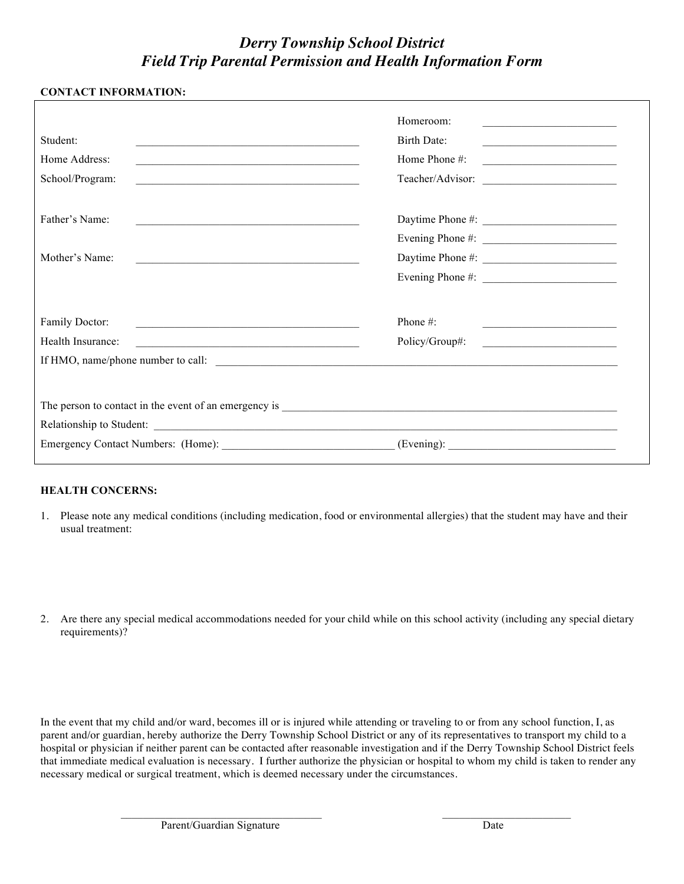## *Derry Township School District Field Trip Parental Permission and Health Information Form*

| <b>CONTACT INFORMATION:</b>                                                                                                                                                                                                |                                                                                                                                                             |
|----------------------------------------------------------------------------------------------------------------------------------------------------------------------------------------------------------------------------|-------------------------------------------------------------------------------------------------------------------------------------------------------------|
| Student:<br>Home Address:<br>School/Program:<br><u> 1989 - Johann Barbara, markazi bashkar mashrida ma'lumot</u>                                                                                                           | Homeroom:<br><u> 1989 - Johann John Stone, mars et al. (</u><br>Birth Date:<br>Home Phone #:<br><u> 1980 - Johann Barbara, martin a</u><br>Teacher/Advisor: |
| Father's Name:<br>the control of the control of the control of the control of the control of the control of<br>Mother's Name:<br>the control of the control of the control of the control of the control of the control of |                                                                                                                                                             |
| Family Doctor:<br>Health Insurance:<br><u> 1989 - Johann Barbara, marka a shekara tsa 1989 - An tsa 1989 - An tsa 1989 - An tsa 1989 - An tsa 1989 - An</u>                                                                | Phone $#$ :<br>the control of the control of the control of the control of the control of the control of<br>Policy/Group#:                                  |
|                                                                                                                                                                                                                            |                                                                                                                                                             |

#### **HEALTH CONCERNS:**

- 1. Please note any medical conditions (including medication, food or environmental allergies) that the student may have and their usual treatment:
- 2. Are there any special medical accommodations needed for your child while on this school activity (including any special dietary requirements)?

In the event that my child and/or ward, becomes ill or is injured while attending or traveling to or from any school function, I, as parent and/or guardian, hereby authorize the Derry Township School District or any of its representatives to transport my child to a hospital or physician if neither parent can be contacted after reasonable investigation and if the Derry Township School District feels that immediate medical evaluation is necessary. I further authorize the physician or hospital to whom my child is taken to render any necessary medical or surgical treatment, which is deemed necessary under the circumstances.

\_\_\_\_\_\_\_\_\_\_\_\_\_\_\_\_\_\_\_\_\_\_\_\_\_\_\_\_\_\_\_\_\_\_\_\_ \_\_\_\_\_\_\_\_\_\_\_\_\_\_\_\_\_\_\_\_\_\_\_